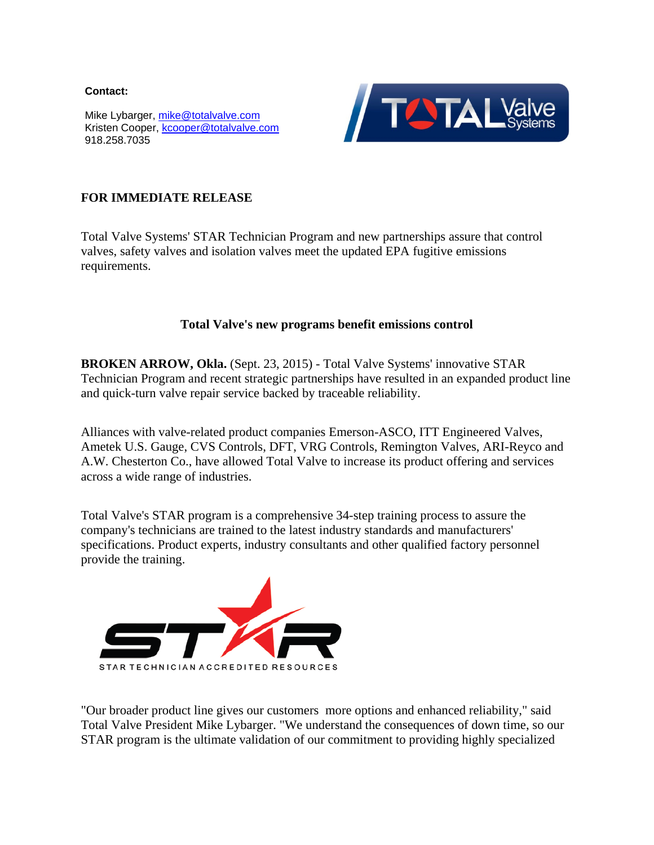**Contact:** 

Mike Lybarger, [mike@totalvalve.com](mailto:mike@totalvalve.com) Kristen Cooper, [kcooper@totalvalve.com](mailto:kcooper@totalvalve.com) 918.258.7035



## **FOR IMMEDIATE RELEASE**

Total Valve Systems' STAR Technician Program and new partnerships assure that control valves, safety valves and isolation valves meet the updated EPA fugitive emissions requirements.

## **Total Valve's new programs benefit emissions control**

**BROKEN ARROW, Okla.** (Sept. 23, 2015) - Total Valve Systems' innovative STAR Technician Program and recent strategic partnerships have resulted in an expanded product line and quick-turn valve repair service backed by traceable reliability.

Alliances with valve-related product companies Emerson-ASCO, ITT Engineered Valves, Ametek U.S. Gauge, CVS Controls, DFT, VRG Controls, Remington Valves, ARI-Reyco and A.W. Chesterton Co., have allowed Total Valve to increase its product offering and services across a wide range of industries.

Total Valve's STAR program is a comprehensive 34-step training process to assure the company's technicians are trained to the latest industry standards and manufacturers' specifications. Product experts, industry consultants and other qualified factory personnel [provide the training.](http://r20.rs6.net/tn.jsp?e=001IEU3dcZKo2oitO3hdNu2qPZSiqfW0UUK7e5sNg5DfsrFS4Jy50GEiSbapq6jgDXa6GKP1ce_-RfU_TgZDGve0Wpsz0KRYz0i7itxRzhoygd4XZ9gedxrzTMJjB07ulmIv7UwyhxELDALvlr6YUUyXQ==)



"Our broader product line gives our customers more options and enhanced reliability," said Total Valve President Mike Lybarger. "We understand the consequences of down time, so our STAR program is the ultimate validation of our commitment to providing highly specialized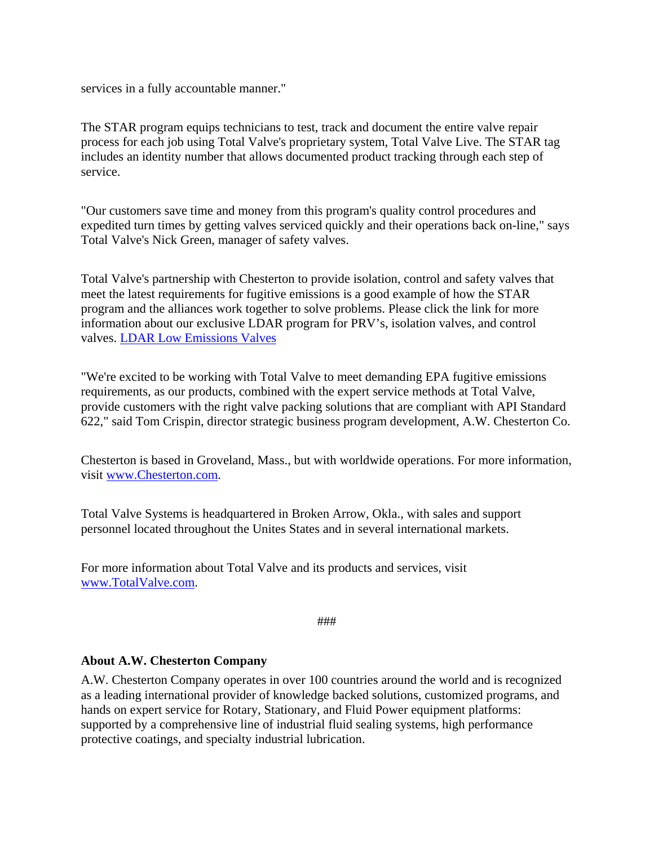services in a fully accountable manner."

The STAR program equips technicians to test, track and document the entire valve repair process for each job using Total Valve's proprietary system, Total Valve Live. The STAR tag includes an identity number that allows documented product tracking through each step of service.

"Our customers save time and money from this program's quality control procedures and expedited turn times by getting valves serviced quickly and their operations back on-line," says Total Valve's Nick Green, manager of safety valves.

Total Valve's partnership with Chesterton to provide isolation, control and safety valves that meet the latest requirements for fugitive emissions is a good example of how the STAR program and the alliances work together to solve problems. Please click the link for more information about our exclusive LDAR program for PRV's, isolation valves, and control valves. [LDAR Low Emissions Valves](http://totalvalve.com/docs/10_6_15/LDAR.pdf)

"We're excited to be working with Total Valve to meet demanding EPA fugitive emissions requirements, as our products, combined with the expert service methods at Total Valve, provide customers with the right valve packing solutions that are compliant with API Standard 622," said Tom Crispin, director strategic business program development, A.W. Chesterton Co.

Chesterton is based in Groveland, Mass., but with worldwide operations. For more information, visit [www.Chesterton.com.](http://www.chesterton.com/)

Total Valve Systems is headquartered in Broken Arrow, Okla., with sales and support personnel located throughout the Unites States and in several international markets.

For more information about Total Valve and its products and services, visit [www.TotalValve.com.](http://www.totalvalve.com/)

```
###
```
## **About A.W. Chesterton Company**

A.W. Chesterton Company operates in over 100 countries around the world and is recognized as a leading international provider of knowledge backed solutions, customized programs, and hands on expert service for Rotary, Stationary, and Fluid Power equipment platforms: supported by a comprehensive line of industrial fluid sealing systems, high performance protective coatings, and specialty industrial lubrication.